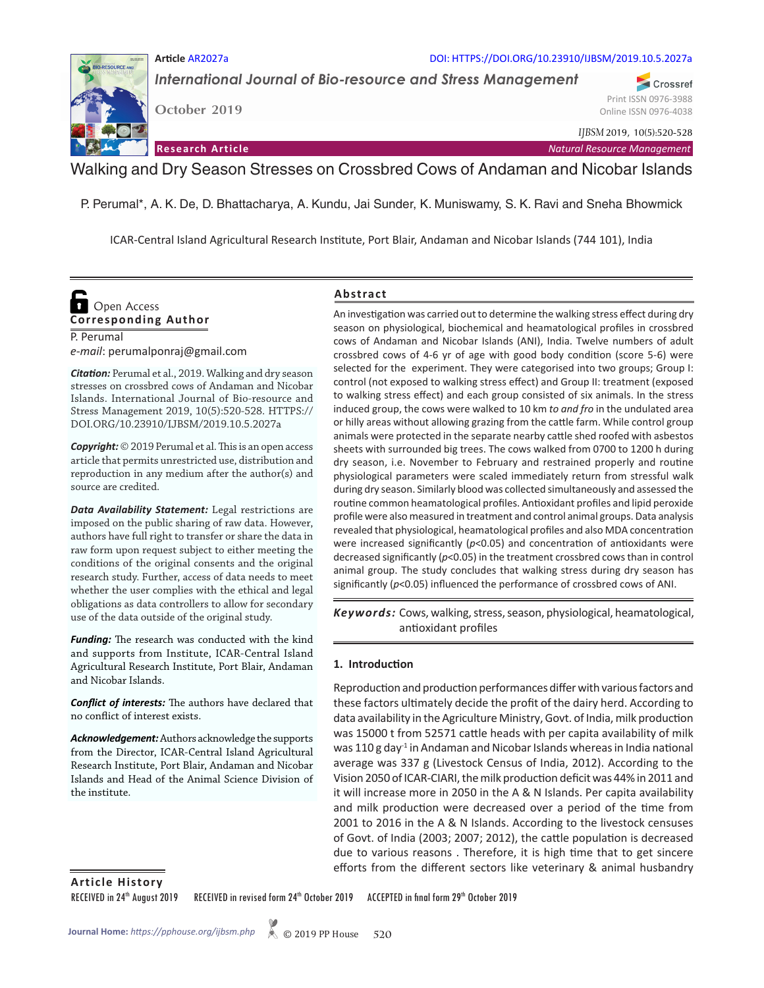#### **Article** AR2027a DOI: HTTPS://DOI.ORG/10.23910/IJBSM/2019.10.5.2027a

*International Journal of Bio-resource and Stress Management*

**October 2019**

*IJBSM* 2019, 10(5):520-528

**Research Article** *Natural Resource Management*

Walking and Dry Season Stresses on Crossbred Cows of Andaman and Nicobar Islands

P. Perumal\*, A. K. De, D. Bhattacharya, A. Kundu, Jai Sunder, K. Muniswamy, S. K. Ravi and Sneha Bhowmick

ICAR-Central Island Agricultural Research Institute, Port Blair, Andaman and Nicobar Islands (744 101), India

# **Corresponding Author Open Access**

P. Perumal *e-mail*: perumalponraj@gmail.com

*Citation:* Perumal et al., 2019. Walking and dry season stresses on crossbred cows of Andaman and Nicobar Islands. International Journal of Bio-resource and Stress Management 2019, 10(5):520-528. HTTPS:// DOI.ORG/10.23910/IJBSM/2019.10.5.2027a

*Copyright:* © 2019 Perumal et al. This is an open access article that permits unrestricted use, distribution and reproduction in any medium after the author(s) and source are credited.

*Data Availability Statement:* Legal restrictions are imposed on the public sharing of raw data. However, authors have full right to transfer or share the data in raw form upon request subject to either meeting the conditions of the original consents and the original research study. Further, access of data needs to meet whether the user complies with the ethical and legal obligations as data controllers to allow for secondary use of the data outside of the original study.

*Funding:* The research was conducted with the kind and supports from Institute, ICAR-Central Island Agricultural Research Institute, Port Blair, Andaman and Nicobar Islands.

*Conflict of interests:* The authors have declared that no conflict of interest exists.

*Acknowledgement:* Authors acknowledge the supports from the Director, ICAR-Central Island Agricultural Research Institute, Port Blair, Andaman and Nicobar Islands and Head of the Animal Science Division of the institute.

### **Abstract**

An investigation was carried out to determine the walking stress effect during dry season on physiological, biochemical and heamatological profiles in crossbred cows of Andaman and Nicobar Islands (ANI), India. Twelve numbers of adult crossbred cows of 4-6 yr of age with good body condition (score 5-6) were selected for the experiment. They were categorised into two groups; Group I: control (not exposed to walking stress effect) and Group II: treatment (exposed to walking stress effect) and each group consisted of six animals. In the stress induced group, the cows were walked to 10 km *to and fro* in the undulated area or hilly areas without allowing grazing from the cattle farm. While control group animals were protected in the separate nearby cattle shed roofed with asbestos sheets with surrounded big trees. The cows walked from 0700 to 1200 h during dry season, i.e. November to February and restrained properly and routine physiological parameters were scaled immediately return from stressful walk during dry season. Similarly blood was collected simultaneously and assessed the routine common heamatological profiles. Antioxidant profiles and lipid peroxide profile were also measured in treatment and control animal groups. Data analysis revealed that physiological, heamatological profiles and also MDA concentration were increased significantly (*p*<0.05) and concentration of antioxidants were decreased significantly (*p*<0.05) in the treatment crossbred cows than in control animal group. The study concludes that walking stress during dry season has significantly (*p*<0.05) influenced the performance of crossbred cows of ANI.

Keywords: Cows, walking, stress, season, physiological, heamatological, antioxidant profiles

### **1. Introduction**

Reproduction and production performances differ with various factors and these factors ultimately decide the profit of the dairy herd. According to data availability in the Agriculture Ministry, Govt. of India, milk production was 15000 t from 52571 cattle heads with per capita availability of milk was 110 g day<sup>-1</sup> in Andaman and Nicobar Islands whereas in India national average was 337 g (Livestock Census of India, 2012). According to the Vision 2050 of ICAR-CIARI, the milk production deficit was 44% in 2011 and it will increase more in 2050 in the A & N Islands. Per capita availability and milk production were decreased over a period of the time from 2001 to 2016 in the A & N Islands. According to the livestock censuses of Govt. of India (2003; 2007; 2012), the cattle population is decreased due to various reasons . Therefore, it is high time that to get sincere efforts from the different sectors like veterinary & animal husbandry

**Article History**

RECEIVED in 24<sup>th</sup> August 2019 RECEIVED in revised form 24<sup>th</sup> October 2019 ACCEPTED in final form 29<sup>th</sup> October 2019



Crossref Print ISSN 0976-3988 Online ISSN 0976-4038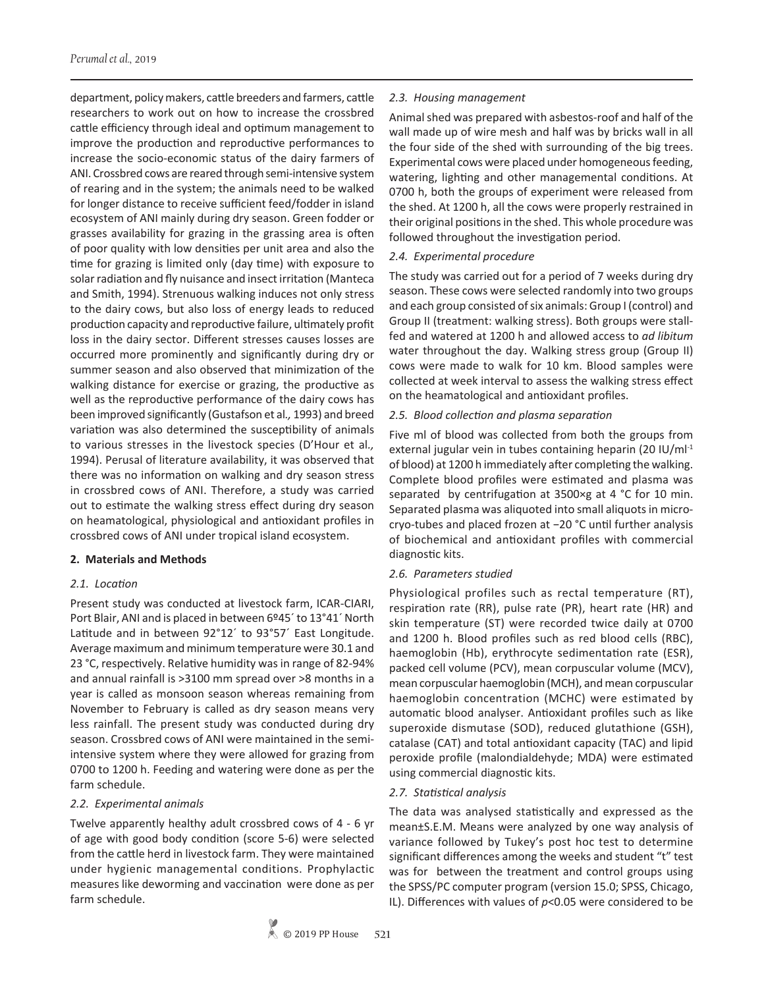department, policy makers, cattle breeders and farmers, cattle researchers to work out on how to increase the crossbred cattle efficiency through ideal and optimum management to improve the production and reproductive performances to increase the socio-economic status of the dairy farmers of ANI. Crossbred cows are reared through semi-intensive system of rearing and in the system; the animals need to be walked for longer distance to receive sufficient feed/fodder in island ecosystem of ANI mainly during dry season. Green fodder or grasses availability for grazing in the grassing area is often of poor quality with low densities per unit area and also the time for grazing is limited only (day time) with exposure to solar radiation and fly nuisance and insect irritation (Manteca and Smith, 1994). Strenuous walking induces not only stress to the dairy cows, but also loss of energy leads to reduced production capacity and reproductive failure, ultimately profit loss in the dairy sector. Different stresses causes losses are occurred more prominently and significantly during dry or summer season and also observed that minimization of the walking distance for exercise or grazing, the productive as well as the reproductive performance of the dairy cows has been improved significantly (Gustafson et al*.,* 1993) and breed variation was also determined the susceptibility of animals to various stresses in the livestock species (D'Hour et al*.,* 1994). Perusal of literature availability, it was observed that there was no information on walking and dry season stress in crossbred cows of ANI. Therefore, a study was carried out to estimate the walking stress effect during dry season on heamatological, physiological and antioxidant profiles in crossbred cows of ANI under tropical island ecosystem.

### **2. Materials and Methods**

### *2.1. Location*

Present study was conducted at livestock farm, ICAR-CIARI, Port Blair, ANI and is placed in between 6º45' to 13°41' North Latitude and in between 92°12´ to 93°57´ East Longitude. Average maximum and minimum temperature were 30.1 and 23 °C, respectively. Relative humidity was in range of 82-94% and annual rainfall is >3100 mm spread over >8 months in a year is called as monsoon season whereas remaining from November to February is called as dry season means very less rainfall. The present study was conducted during dry season. Crossbred cows of ANI were maintained in the semiintensive system where they were allowed for grazing from 0700 to 1200 h. Feeding and watering were done as per the farm schedule.

### *2.2. Experimental animals*

Twelve apparently healthy adult crossbred cows of 4 - 6 yr of age with good body condition (score 5-6) were selected from the cattle herd in livestock farm. They were maintained under hygienic managemental conditions. Prophylactic measures like deworming and vaccination were done as per farm schedule.

# *2.3. Housing management*

Animal shed was prepared with asbestos-roof and half of the wall made up of wire mesh and half was by bricks wall in all the four side of the shed with surrounding of the big trees. Experimental cows were placed under homogeneous feeding, watering, lighting and other managemental conditions. At 0700 h, both the groups of experiment were released from the shed. At 1200 h, all the cows were properly restrained in their original positions in the shed. This whole procedure was followed throughout the investigation period.

# *2.4. Experimental procedure*

The study was carried out for a period of 7 weeks during dry season. These cows were selected randomly into two groups and each group consisted of six animals: Group I (control) and Group II (treatment: walking stress). Both groups were stallfed and watered at 1200 h and allowed access to *ad libitum* water throughout the day. Walking stress group (Group II) cows were made to walk for 10 km. Blood samples were collected at week interval to assess the walking stress effect on the heamatological and antioxidant profiles.

### *2.5. Blood collection and plasma separation*

Five ml of blood was collected from both the groups from external jugular vein in tubes containing heparin (20 IU/ml<sup>-1</sup> of blood) at 1200 h immediately after completing the walking. Complete blood profiles were estimated and plasma was separated by centrifugation at 3500×g at 4 °C for 10 min. Separated plasma was aliquoted into small aliquots in microcryo-tubes and placed frozen at −20 °C until further analysis of biochemical and antioxidant profiles with commercial diagnostic kits.

# *2.6. Parameters studied*

Physiological profiles such as rectal temperature (RT), respiration rate (RR), pulse rate (PR), heart rate (HR) and skin temperature (ST) were recorded twice daily at 0700 and 1200 h. Blood profiles such as red blood cells (RBC), haemoglobin (Hb), erythrocyte sedimentation rate (ESR), packed cell volume (PCV), mean corpuscular volume (MCV), mean corpuscular haemoglobin (MCH), and mean corpuscular haemoglobin concentration (MCHC) were estimated by automatic blood analyser. Antioxidant profiles such as like superoxide dismutase (SOD), reduced glutathione (GSH), catalase (CAT) and total antioxidant capacity (TAC) and lipid peroxide profile (malondialdehyde; MDA) were estimated using commercial diagnostic kits.

### *2.7. Statistical analysis*

The data was analysed statistically and expressed as the mean±S.E.M. Means were analyzed by one way analysis of variance followed by Tukey's post hoc test to determine significant differences among the weeks and student "t" test was for between the treatment and control groups using the SPSS/PC computer program (version 15.0; SPSS, Chicago, IL). Differences with values of *p*<0.05 were considered to be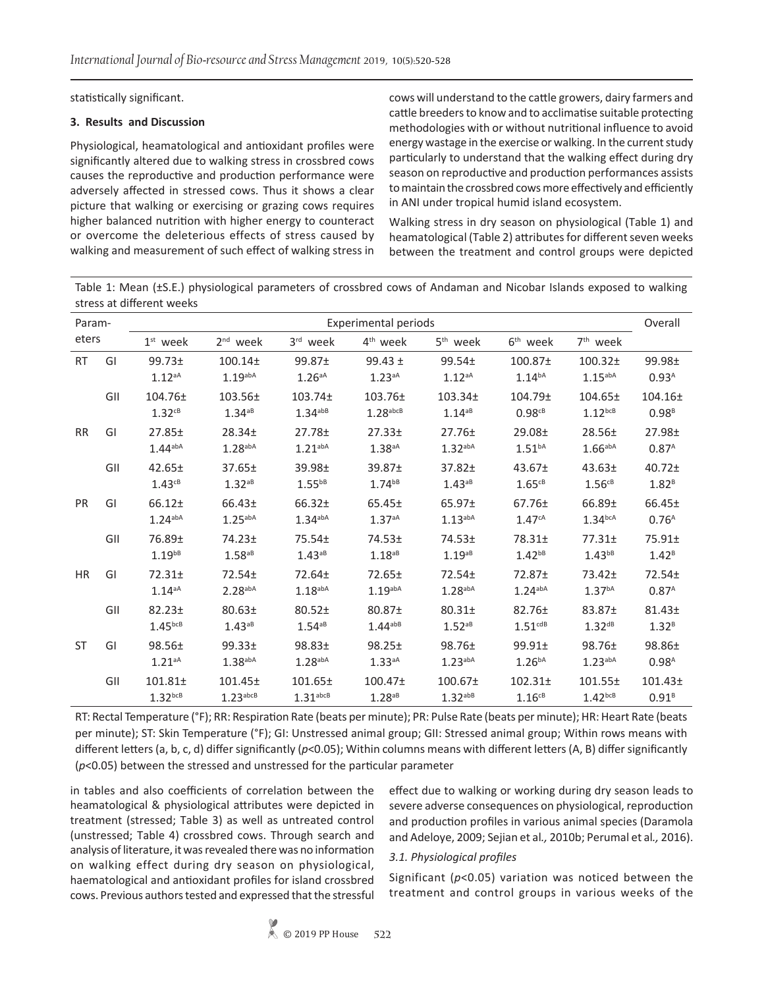statistically significant.

### **3. Results and Discussion**

Physiological, heamatological and antioxidant profiles were significantly altered due to walking stress in crossbred cows causes the reproductive and production performance were adversely affected in stressed cows. Thus it shows a clear picture that walking or exercising or grazing cows requires higher balanced nutrition with higher energy to counteract or overcome the deleterious effects of stress caused by walking and measurement of such effect of walking stress in

cows will understand to the cattle growers, dairy farmers and cattle breeders to know and to acclimatise suitable protecting methodologies with or without nutritional influence to avoid energy wastage in the exercise or walking. In the current study particularly to understand that the walking effect during dry season on reproductive and production performances assists to maintain the crossbred cows more effectively and efficiently in ANI under tropical humid island ecosystem.

Walking stress in dry season on physiological (Table 1) and heamatological (Table 2) attributes for different seven weeks between the treatment and control groups were depicted

Table 1: Mean (±S.E.) physiological parameters of crossbred cows of Andaman and Nicobar Islands exposed to walking stress at different weeks

| Param-<br>eters |     | Experimental periods                                                                          |                                                                      |                                        |                                      |                                      |                                             |                                              |                                   |  |  |  |
|-----------------|-----|-----------------------------------------------------------------------------------------------|----------------------------------------------------------------------|----------------------------------------|--------------------------------------|--------------------------------------|---------------------------------------------|----------------------------------------------|-----------------------------------|--|--|--|
|                 |     | $1st$ week                                                                                    | $2nd$ week                                                           | $3rd$ week                             | 4 <sup>th</sup> week                 | 5 <sup>th</sup> week                 | 6 <sup>th</sup> week                        | 7 <sup>th</sup> week                         |                                   |  |  |  |
| <b>RT</b>       | GI  | $99.73 \pm$<br>1.12aA                                                                         | 100.14 <sub>±</sub><br>$1.19$ abA                                    | 99.87 <sub>±</sub><br>$1.26aA}$        | $99.43 \pm$<br>$1.23aA}$             | $99.54 \pm$<br>$1.12aA}$             | 100.87 <sub>±</sub><br>$1.14^{bA}$          | 100.32 <sub>±</sub><br>$1.15$ <sup>abA</sup> | 99.98±<br>0.93 <sup>A</sup>       |  |  |  |
|                 | GII | 104.76±<br>$1.32$ <sup>cB</sup>                                                               | 103.56±<br>$1.34^{aB}$                                               | $103.74 \pm$<br>$1.34$ <sup>abB</sup>  | 103.76±<br>$1.28$ <sup>abcB</sup>    | 103.34±<br>$1.14^{aB}$               | 104.79 <sub>±</sub><br>$0.98c^{B}$          | 104.65±<br>$1.12^{bcB}$                      | 104.16±<br>$0.98^{B}$             |  |  |  |
| <b>RR</b>       | GI  | $27.85 \pm$<br>$1.44$ <sup>abA</sup>                                                          | 28.34 <sub>±</sub><br>$27.78 +$<br>$1.28$ abA<br>1.21 <sub>abA</sub> |                                        | 27.33 <sup>±</sup><br>$1.38aA}$      | $27.76 \pm$<br>$1.32$ <sup>abA</sup> | 29.08 <sub>±</sub><br>1.51 <sup>ba</sup>    | $28.56 \pm$<br>1.66a <sub>abA</sub>          | $27.98 +$<br>0.87 <sup>A</sup>    |  |  |  |
|                 | GII | $42.65 \pm$<br>$1.43^{cB}$                                                                    | $37.65 \pm$<br>$1.32^{aB}$                                           | 39.98 <sub>±</sub><br>$1.55^{bB}$      | 39.87 <sub>±</sub><br>$1.74^{bB}$    | $37.82 +$<br>$1.43^{aB}$             | $43.67 \pm$<br>$1.65^{CB}$                  | 43.63 <sub>±</sub><br>$1.56$ <sup>cB</sup>   | $40.72 +$<br>$1.82^{B}$           |  |  |  |
| <b>PR</b>       | GI  | $66.12+$<br>$1.24$ <sup>abA</sup>                                                             | 66.43±<br>$1.25$ <sup>abA</sup>                                      | $66.32+$<br>$1.34$ <sup>abA</sup>      | $65.45 \pm$<br>1.37aA                | 65.97±<br>$1.13$ <sup>abA</sup>      | $67.76 \pm$<br>1.47cA                       | 66.89±<br>1.34 <sup>bcA</sup>                | 66.45±<br>0.76 <sup>A</sup>       |  |  |  |
|                 | GII | 76.89 <sup>±</sup><br>$1.19^{bB}$                                                             | $74.23 \pm$<br>$1.58^{aB}$                                           | $75.54+$<br>$1.43^{a}$ <sup>B</sup>    | $74.53+$<br>$1.18^{aB}$              | $74.53+$<br>$1.19^{aB}$              | $78.31+$<br>$1.42^{b}$ <sup>B</sup>         | $77.31 \pm$<br>$1.43^{bB}$                   | $75.91 \pm$<br>$1.42^B$           |  |  |  |
| <b>HR</b>       | GI  | $72.31 \pm$<br>$1.14^{aA}$                                                                    | 72.54±<br>$2.28$ <sup>abA</sup>                                      | $72.64 \pm$<br>$1.18$ <sup>abA</sup>   | $72.65 \pm$<br>$1.19$ <sup>abA</sup> | $72.54 \pm$<br>$1.28$ <sup>abA</sup> | 72.87±<br>$1.24$ <sup>abA</sup>             | $73.42 \pm$<br>1.37 <sup>bA</sup>            | $72.54 \pm$<br>0.87 <sup>A</sup>  |  |  |  |
|                 | GII | $82.23 +$<br>80.63 <sub>±</sub><br>$1.45^{bcB}$<br>$1.43^{aB}$                                |                                                                      | $80.52 \pm$<br>$1.54^{aB}$             | 80.87±<br>$1.44^{abB}$               | $80.31 \pm$<br>$1.52^{ab}$           | $82.76 \pm$<br>1.51 <sup>cdB</sup>          | 83.87±<br>$1.32^{dB}$                        | $81.43+$<br>$1.32^{B}$            |  |  |  |
| <b>ST</b>       | GI  | $99.33+$<br>$98.83+$<br>$98.56 \pm$<br>1.38 <sup>aba</sup><br>$1.28$ <sup>abA</sup><br>1.21aA |                                                                      |                                        | $98.25 \pm$<br>1.33aA                | $98.76 \pm$<br>$1.23$ <sup>abA</sup> | $99.91 \pm$<br>1.26 <sup>bA</sup>           | $98.76 \pm$<br>1.23 <sub>abA</sub>           | 98.86±<br>0.98 <sup>A</sup>       |  |  |  |
|                 | GII | $101.81 \pm$<br>$1.32$ <sub>bcB</sub>                                                         | 101.45±<br>$1.23$ <sup>abcB</sup>                                    | $101.65 \pm$<br>$1.31$ <sup>abcB</sup> | 100.47 <sub>±</sub><br>$1.28^{aB}$   | 100.67 <sub>±</sub><br>$1.32^{abB}$  | 102.31 <sub>±</sub><br>$1.16$ <sup>cB</sup> | 101.55±<br>$1.42^{bcB}$                      | 101.43 <sub>±</sub><br>$0.91^{B}$ |  |  |  |

RT: Rectal Temperature (°F); RR: Respiration Rate (beats per minute); PR: Pulse Rate (beats per minute); HR: Heart Rate (beats per minute); ST: Skin Temperature (°F); GI: Unstressed animal group; GII: Stressed animal group; Within rows means with different letters (a, b, c, d) differ significantly (*p*<0.05); Within columns means with different letters (A, B) differ significantly (*p*<0.05) between the stressed and unstressed for the particular parameter

in tables and also coefficients of correlation between the heamatological & physiological attributes were depicted in treatment (stressed; Table 3) as well as untreated control (unstressed; Table 4) crossbred cows. Through search and analysis of literature, it was revealed there was no information on walking effect during dry season on physiological, haematological and antioxidant profiles for island crossbred cows. Previous authors tested and expressed that the stressful

effect due to walking or working during dry season leads to severe adverse consequences on physiological, reproduction and production profiles in various animal species (Daramola and Adeloye, 2009; Sejian et al*.,* 2010b; Perumal et al*.,* 2016).

### *3.1. Physiological profiles*

Significant (*p*<0.05) variation was noticed between the treatment and control groups in various weeks of the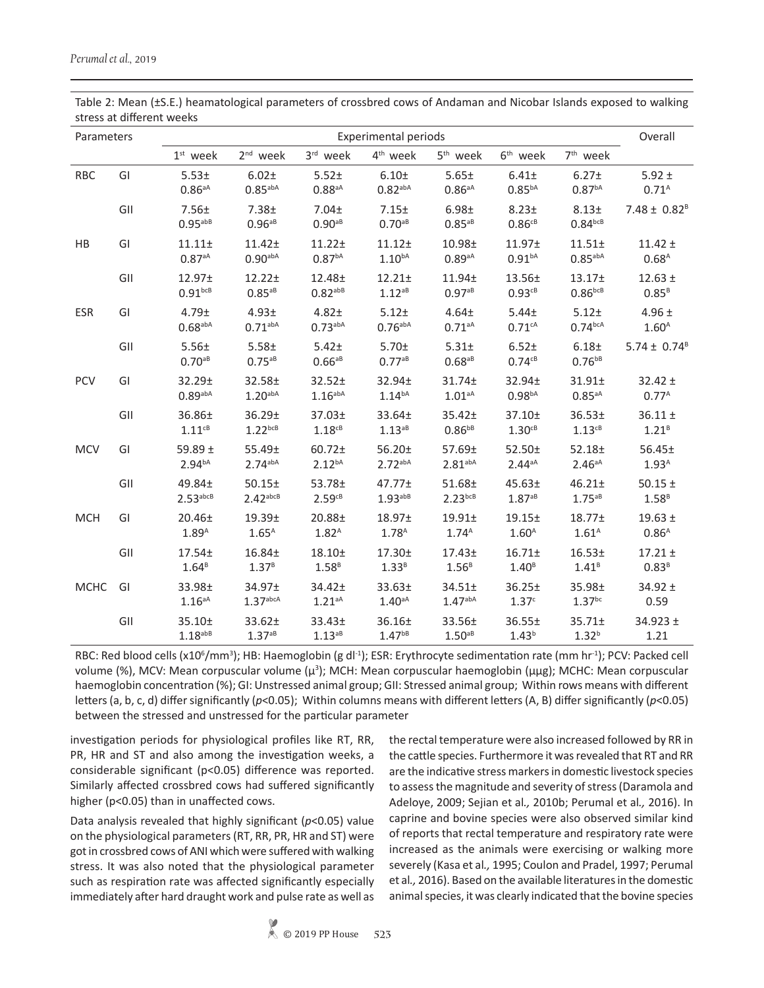| Parameters  |     | <b>Experimental periods</b>                 |                                    |                                             |                                             |                                         |                                   |                                         |                                  |  |
|-------------|-----|---------------------------------------------|------------------------------------|---------------------------------------------|---------------------------------------------|-----------------------------------------|-----------------------------------|-----------------------------------------|----------------------------------|--|
|             |     | $1st$ week                                  | 2 <sup>nd</sup> week               | $3rd$ week                                  | 4 <sup>th</sup> week                        | 5 <sup>th</sup> week                    | 6 <sup>th</sup> week              | 7 <sup>th</sup> week                    |                                  |  |
| <b>RBC</b>  | GI  | 5.53 <sub>±</sub><br>$0.86aA}$              | $6.02 +$<br>$0.85$ <sub>abA</sub>  | $5.52+$<br>$0.88^{aA}$                      | $6.10+$<br>$0.82$ <sup>abA</sup>            | 5.65±<br>$0.86aA}$                      | $6.41 \pm$<br>$0.85^{bA}$         | $6.27 \pm$<br>0.87 <sup>bA</sup>        | $5.92 \pm$<br>0.71 <sup>A</sup>  |  |
|             | GII | $7.56 \pm$<br>$0.95$ <sup>abB</sup>         | $7.38 +$<br>$0.96^{ab}$            | $7.04 \pm$<br>$0.90^{aB}$                   | 7.15±<br>$0.70^{aB}$                        | 6.98±<br>$0.85^{aB}$                    | $8.23 \pm$<br>$0.86c_B$           | $8.13+$<br>$0.84$ <sub>bcB</sub>        | $7.48 \pm 0.82^B$                |  |
| HB          | GI  | 11.11±<br>$0.87aA}$                         | $11.42 +$<br>$0.90$ <sub>abA</sub> | $11.22 +$<br>$0.87^{bA}$                    | $11.12+$<br>1.10 <sup>bA</sup>              | 10.98 <sub>±</sub><br>$0.89^{aA}$       | 11.97 <sub>±</sub><br>$0.91^{bA}$ | $11.51 \pm$<br>$0.85$ <sup>abA</sup>    | $11.42 \pm$<br>$0.68^{A}$        |  |
|             | GII | 12.97 <sub>±</sub><br>$0.91$ <sub>bcB</sub> | 12.22±<br>$0.85^{aB}$              | 12.48 <sub>±</sub><br>$0.82$ <sup>abB</sup> | $12.21 \pm$<br>$1.12^{aB}$                  | $11.94 \pm$<br>$0.97^{aB}$              | 13.56 <sub>±</sub><br>0.93cB      | 13.17 <sub>±</sub><br>$0.86^{bcB}$      | $12.63 \pm$<br>0.85 <sup>B</sup> |  |
| <b>ESR</b>  | GI  | 4.79±<br>$0.68$ <sup>abA</sup>              | $4.93 \pm$<br>$0.71^{abA}$         | $4.82 +$<br>$0.73^{abA}$                    | $5.12 +$<br>$0.76^{abA}$                    | $4.64 \pm$<br>$0.71aA}$                 | $5.44 \pm$<br>0.71cA              | 5.12±<br>$0.74^{bca}$                   | 4.96 $±$<br>1.60 <sup>A</sup>    |  |
|             | GII | 5.56±<br>$0.70^{aB}$                        | $5.58 +$<br>$0.75^{ab}$            | $5.42 \pm$<br>$0.66a^{B}$                   | 5.70±<br>$0.77a^{8}$                        | $5.31 \pm$<br>$0.68^{aB}$               | $6.52+$<br>$0.74$ <sup>cB</sup>   | 6.18±<br>$0.76^{bB}$                    | $5.74 \pm 0.74^B$                |  |
| PCV         | GI  | 32.29±<br>$0.89$ <sup>abA</sup>             | 32.58±<br>1.20 <sub>abA</sub>      | $32.52 \pm$<br>1.16 <sup>aba</sup>          | 32.94±<br>$1.14^{bA}$                       | 31.74±<br>$1.01aA}$                     | 32.94±<br>0.98 <sup>bA</sup>      | $31.91 \pm$<br>$0.85^{aA}$              | $32.42 \pm$<br>$0.77^{\text{A}}$ |  |
|             | GII | 36.86±<br>$1.11c^{B}$                       | 36.29±<br>$1.22^{bcB}$             | 37.03 <sub>±</sub><br>$1.18$ <sup>cB</sup>  | 33.64±<br>$1.13^{aB}$                       | $35.42 \pm$<br>$0.86^{bB}$              | 37.10±<br>$1.30cB}$               | 36.53±<br>$1.13$ <sup>cB</sup>          | $36.11 \pm$<br>1.21 <sup>B</sup> |  |
| <b>MCV</b>  | GI  | 59.89 $\pm$<br>2.94 <sup>bA</sup>           | 55.49±<br>$2.74$ <sup>abA</sup>    | 60.72±<br>2.12 <sup>bA</sup>                | 56.20±<br>2.72 <sub>abA</sub>               | $57.69 \pm$<br>2.81 <sub>abA</sub>      | $52.50+$<br>$2.44a^{A}$           | 52.18±<br>$2.46aA}$                     | 56.45±<br>1.93 <sup>A</sup>      |  |
|             | GII | $49.84 \pm$<br>$2.53$ abcB                  | 50.15±<br>$2.42$ <sup>abcB</sup>   | 53.78 <sub>±</sub><br>$2.59^{cB}$           | 47.77 <sub>±</sub><br>$1.93$ <sup>abB</sup> | $51.68 \pm$<br>$2.23^{bcB}$             | 45.63 <sub>±</sub><br>$1.87^{aB}$ | $46.21 \pm$<br>$1.75^{aB}$              | $50.15 \pm$<br>1.58 <sup>B</sup> |  |
| <b>MCH</b>  | GI  | 20.46±<br>1.89 <sup>A</sup>                 | 19.39 <sub>±</sub><br>$1.65^A$     | 20.88±<br>1.82 <sup>A</sup>                 | 18.97 <sub>±</sub><br>$1.78^{A}$            | $19.91 \pm$<br>1.74 <sup>A</sup>        | 19.15±<br>1.60 <sup>A</sup>       | 18.77 <sub>±</sub><br>1.61 <sup>A</sup> | $19.63 \pm$<br>0.86 <sup>A</sup> |  |
|             | GII | $17.54 \pm$<br>1.64 <sup>B</sup>            | $16.84 \pm$<br>1.37 <sup>B</sup>   | $18.10+$<br>1.58 <sup>B</sup>               | $17.30+$<br>1.33 <sup>B</sup>               | 17.43 <sub>±</sub><br>1.56 <sup>B</sup> | $16.71 +$<br>1.40 <sup>B</sup>    | 16.53 <sub>±</sub><br>1.41 <sup>B</sup> | $17.21 \pm$<br>0.83 <sup>B</sup> |  |
| <b>MCHC</b> | GI  | 33.98±<br>$1.16aA}$                         | 34.97±<br>1.37 <sub>abcA</sub>     | $34.42 \pm$<br>$1.21aA}$                    | 33.63±<br>$1.40aA}$                         | $34.51 \pm$<br>1.47 <sup>abA</sup>      | $36.25 \pm$<br>1.37 <sup>c</sup>  | 35.98±<br>$1.37$ <sup>bc</sup>          | $34.92 \pm$<br>0.59              |  |
|             | GII | 35.10±<br>$1.18$ <sup>abB</sup>             | $33.62 \pm$<br>$1.37^{aB}$         | 33.43±<br>$1.13^{aB}$                       | 36.16±<br>$1.47^{bB}$                       | 33.56±<br>$1.50aB}$                     | 36.55±<br>1.43 <sup>b</sup>       | $35.71 \pm$<br>1.32 <sup>b</sup>        | $34.923 \pm$<br>1.21             |  |

Table 2: Mean (±S.E.) heamatological parameters of crossbred cows of Andaman and Nicobar Islands exposed to walking stress at different weeks

RBC: Red blood cells (x10<sup>6</sup>/mm<sup>3</sup>); HB: Haemoglobin (g dl<sup>-1</sup>); ESR: Erythrocyte sedimentation rate (mm hr<sup>-1</sup>); PCV: Packed cell volume (%), MCV: Mean corpuscular volume (μ<sup>3</sup>); MCH: Mean corpuscular haemoglobin (μμg); MCHC: Mean corpuscular haemoglobin concentration (%); GI: Unstressed animal group; GII: Stressed animal group; Within rows means with different letters (a, b, c, d) differ significantly (*p*<0.05); Within columns means with different letters (A, B) differ significantly (*p*<0.05) between the stressed and unstressed for the particular parameter

investigation periods for physiological profiles like RT, RR, PR, HR and ST and also among the investigation weeks, a considerable significant (p<0.05) difference was reported. Similarly affected crossbred cows had suffered significantly higher (p<0.05) than in unaffected cows.

Data analysis revealed that highly significant (*p*<0.05) value on the physiological parameters (RT, RR, PR, HR and ST) were got in crossbred cows of ANI which were suffered with walking stress. It was also noted that the physiological parameter such as respiration rate was affected significantly especially immediately after hard draught work and pulse rate as well as

the rectal temperature were also increased followed by RR in the cattle species. Furthermore it was revealed that RT and RR are the indicative stress markers in domestic livestock species to assess the magnitude and severity of stress (Daramola and Adeloye, 2009; Sejian et al*.,* 2010b; Perumal et al*.,* 2016). In caprine and bovine species were also observed similar kind of reports that rectal temperature and respiratory rate were increased as the animals were exercising or walking more severely (Kasa et al*.,* 1995; Coulon and Pradel, 1997; Perumal et al*.,* 2016). Based on the available literatures in the domestic animal species, it was clearly indicated that the bovine species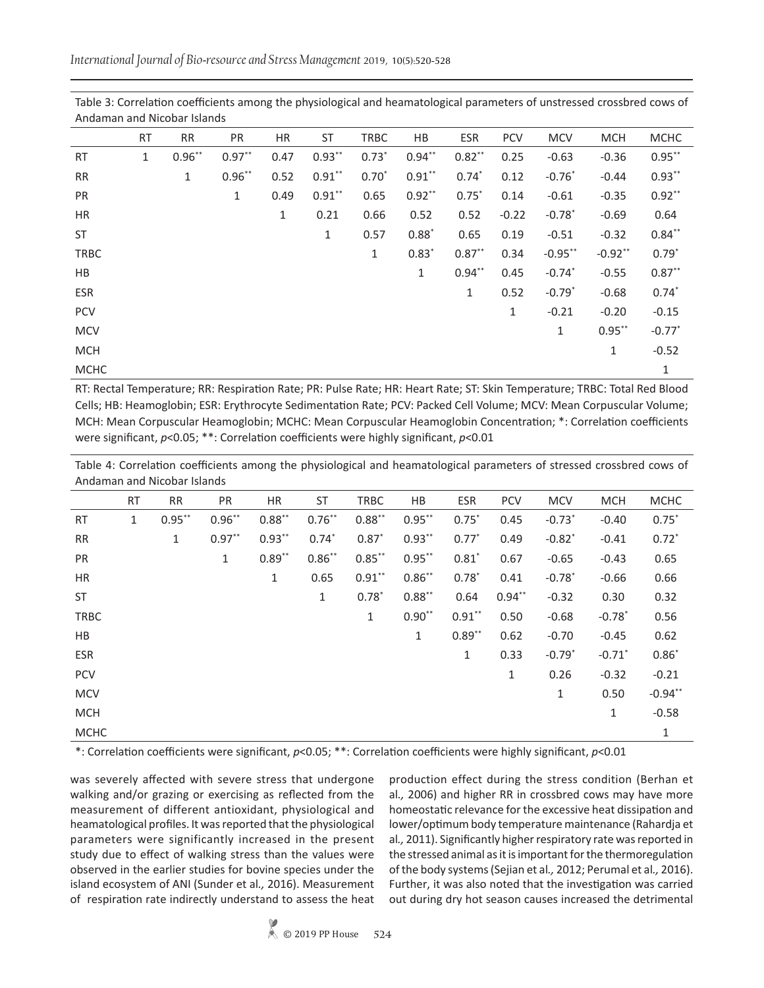| Alludillalı dilu Nicopal İslahus |              |              |              |             |              |             |             |              |            |                      |            |                      |
|----------------------------------|--------------|--------------|--------------|-------------|--------------|-------------|-------------|--------------|------------|----------------------|------------|----------------------|
|                                  | RT           | <b>RR</b>    | <b>PR</b>    | HR          | ST           | <b>TRBC</b> | HB          | <b>ESR</b>   | <b>PCV</b> | <b>MCV</b>           | <b>MCH</b> | <b>MCHC</b>          |
| <b>RT</b>                        | $\mathbf{1}$ | $0.96***$    | $0.97**$     | 0.47        | $0.93***$    | $0.73*$     | $0.94***$   | $0.82***$    | 0.25       | $-0.63$              | $-0.36$    | $0.95***$            |
| <b>RR</b>                        |              | $\mathbf{1}$ | $0.96***$    | 0.52        | $0.91***$    | $0.70*$     | $0.91***$   | $0.74*$      | 0.12       | $-0.76*$             | $-0.44$    | $0.93**$             |
| <b>PR</b>                        |              |              | $\mathbf{1}$ | 0.49        | $0.91***$    | 0.65        | $0.92**$    | $0.75*$      | 0.14       | $-0.61$              | $-0.35$    | $0.92**$             |
| HR                               |              |              |              | $\mathbf 1$ | 0.21         | 0.66        | 0.52        | 0.52         | $-0.22$    | $-0.78$              | $-0.69$    | 0.64                 |
| ST                               |              |              |              |             | $\mathbf{1}$ | 0.57        | $0.88*$     | 0.65         | 0.19       | $-0.51$              | $-0.32$    | $0.84**$             |
| <b>TRBC</b>                      |              |              |              |             |              | 1           | $0.83*$     | $0.87***$    | 0.34       | $-0.95***$           | $-0.92**$  | $0.79*$              |
| HB                               |              |              |              |             |              |             | $\mathbf 1$ | $0.94***$    | 0.45       | $-0.74$ <sup>*</sup> | $-0.55$    | $0.87**$             |
| ESR                              |              |              |              |             |              |             |             | $\mathbf{1}$ | 0.52       | $-0.79*$             | $-0.68$    | $0.74*$              |
| <b>PCV</b>                       |              |              |              |             |              |             |             |              | 1          | $-0.21$              | $-0.20$    | $-0.15$              |
| <b>MCV</b>                       |              |              |              |             |              |             |             |              |            | $\mathbf{1}$         | $0.95***$  | $-0.77$ <sup>*</sup> |
| <b>MCH</b>                       |              |              |              |             |              |             |             |              |            |                      | 1          | $-0.52$              |
| <b>MCHC</b>                      |              |              |              |             |              |             |             |              |            |                      |            | 1                    |

Table 3: Correlation coefficients among the physiological and heamatological parameters of unstressed crossbred cows of Andaman and Nicobar Islands

RT: Rectal Temperature; RR: Respiration Rate; PR: Pulse Rate; HR: Heart Rate; ST: Skin Temperature; TRBC: Total Red Blood Cells; HB: Heamoglobin; ESR: Erythrocyte Sedimentation Rate; PCV: Packed Cell Volume; MCV: Mean Corpuscular Volume; MCH: Mean Corpuscular Heamoglobin; MCHC: Mean Corpuscular Heamoglobin Concentration; \*: Correlation coefficients were significant, *p*<0.05; \*\*: Correlation coefficients were highly significant, *p*<0.01

Table 4: Correlation coefficients among the physiological and heamatological parameters of stressed crossbred cows of Andaman and Nicobar Islands

|             | <b>RT</b>    | <b>RR</b> | PR           | HR        | <b>ST</b>    | <b>TRBC</b>  | HB        | <b>ESR</b> | <b>PCV</b>   | <b>MCV</b>           | <b>MCH</b>           | <b>MCHC</b> |
|-------------|--------------|-----------|--------------|-----------|--------------|--------------|-----------|------------|--------------|----------------------|----------------------|-------------|
| <b>RT</b>   | $\mathbf{1}$ | $0.95***$ | $0.96***$    | $0.88***$ | $0.76***$    | $0.88***$    | $0.95***$ | $0.75*$    | 0.45         | $-0.73$ <sup>*</sup> | $-0.40$              | $0.75*$     |
| RR          |              | 1         | $0.97**$     | $0.93***$ | $0.74*$      | $0.87*$      | $0.93***$ | $0.77*$    | 0.49         | $-0.82$ <sup>*</sup> | $-0.41$              | $0.72*$     |
| PR          |              |           | $\mathbf{1}$ | $0.89**$  | $0.86**$     | $0.85***$    | $0.95***$ | $0.81*$    | 0.67         | $-0.65$              | $-0.43$              | 0.65        |
| <b>HR</b>   |              |           |              | 1         | 0.65         | $0.91***$    | $0.86***$ | $0.78*$    | 0.41         | $-0.78$ <sup>*</sup> | $-0.66$              | 0.66        |
| <b>ST</b>   |              |           |              |           | $\mathbf{1}$ | $0.78*$      | $0.88***$ | 0.64       | $0.94**$     | $-0.32$              | 0.30                 | 0.32        |
| TRBC        |              |           |              |           |              | $\mathbf{1}$ | $0.90**$  | $0.91***$  | 0.50         | $-0.68$              | $-0.78$ <sup>*</sup> | 0.56        |
| HB          |              |           |              |           |              |              | 1         | $0.89**$   | 0.62         | $-0.70$              | $-0.45$              | 0.62        |
| <b>ESR</b>  |              |           |              |           |              |              |           | 1          | 0.33         | $-0.79$ <sup>*</sup> | $-0.71$ <sup>*</sup> | $0.86*$     |
| <b>PCV</b>  |              |           |              |           |              |              |           |            | $\mathbf{1}$ | 0.26                 | $-0.32$              | $-0.21$     |
| <b>MCV</b>  |              |           |              |           |              |              |           |            |              | $\mathbf{1}$         | 0.50                 | $-0.94**$   |
| <b>MCH</b>  |              |           |              |           |              |              |           |            |              |                      | 1                    | $-0.58$     |
| <b>MCHC</b> |              |           |              |           |              |              |           |            |              |                      |                      | 1           |

\*: Correlation coefficients were significant, *p*<0.05; \*\*: Correlation coefficients were highly significant, *p*<0.01

was severely affected with severe stress that undergone walking and/or grazing or exercising as reflected from the measurement of different antioxidant, physiological and heamatological profiles. It was reported that the physiological parameters were significantly increased in the present study due to effect of walking stress than the values were observed in the earlier studies for bovine species under the island ecosystem of ANI (Sunder et al*.,* 2016). Measurement of respiration rate indirectly understand to assess the heat

production effect during the stress condition (Berhan et al*.,* 2006) and higher RR in crossbred cows may have more homeostatic relevance for the excessive heat dissipation and lower/optimum body temperature maintenance (Rahardja et al*.,* 2011). Significantly higher respiratory rate was reported in the stressed animal as it is important for the thermoregulation of the body systems (Sejian et al*.,* 2012; Perumal et al*.,* 2016). Further, it was also noted that the investigation was carried out during dry hot season causes increased the detrimental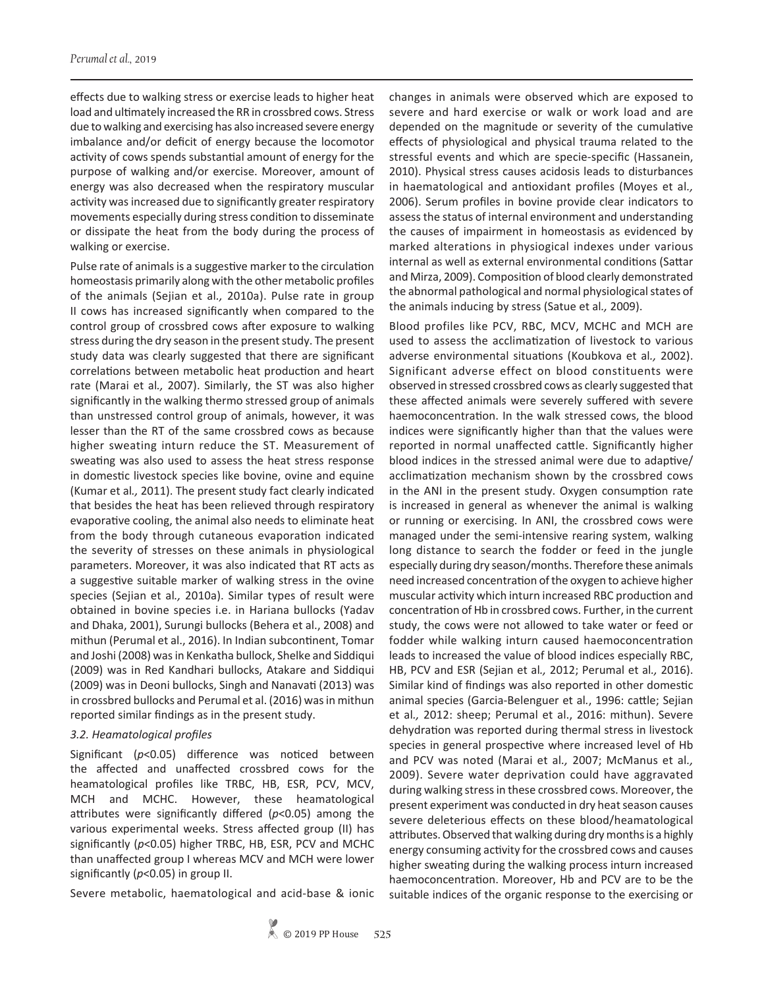effects due to walking stress or exercise leads to higher heat load and ultimately increased the RR in crossbred cows. Stress due to walking and exercising has also increased severe energy imbalance and/or deficit of energy because the locomotor activity of cows spends substantial amount of energy for the purpose of walking and/or exercise. Moreover, amount of energy was also decreased when the respiratory muscular activity was increased due to significantly greater respiratory movements especially during stress condition to disseminate or dissipate the heat from the body during the process of walking or exercise.

Pulse rate of animals is a suggestive marker to the circulation homeostasis primarily along with the other metabolic profiles of the animals (Sejian et al*.,* 2010a). Pulse rate in group II cows has increased significantly when compared to the control group of crossbred cows after exposure to walking stress during the dry season in the present study. The present study data was clearly suggested that there are significant correlations between metabolic heat production and heart rate (Marai et al*.,* 2007). Similarly, the ST was also higher significantly in the walking thermo stressed group of animals than unstressed control group of animals, however, it was lesser than the RT of the same crossbred cows as because higher sweating inturn reduce the ST. Measurement of sweating was also used to assess the heat stress response in domestic livestock species like bovine, ovine and equine (Kumar et al*.,* 2011). The present study fact clearly indicated that besides the heat has been relieved through respiratory evaporative cooling, the animal also needs to eliminate heat from the body through cutaneous evaporation indicated the severity of stresses on these animals in physiological parameters. Moreover, it was also indicated that RT acts as a suggestive suitable marker of walking stress in the ovine species (Sejian et al*.,* 2010a). Similar types of result were obtained in bovine species i.e. in Hariana bullocks (Yadav and Dhaka, 2001), Surungi bullocks (Behera et al., 2008) and mithun (Perumal et al., 2016). In Indian subcontinent, Tomar and Joshi (2008) was in Kenkatha bullock, Shelke and Siddiqui (2009) was in Red Kandhari bullocks, Atakare and Siddiqui (2009) was in Deoni bullocks, Singh and Nanavati (2013) was in crossbred bullocks and Perumal et al. (2016) was in mithun reported similar findings as in the present study.

### *3.2. Heamatological profiles*

Significant (*p*<0.05) difference was noticed between the affected and unaffected crossbred cows for the heamatological profiles like TRBC, HB, ESR, PCV, MCV, MCH and MCHC. However, these heamatological attributes were significantly differed (*p*<0.05) among the various experimental weeks. Stress affected group (II) has significantly (*p*<0.05) higher TRBC, HB, ESR, PCV and MCHC than unaffected group I whereas MCV and MCH were lower significantly (*p*<0.05) in group II.

Severe metabolic, haematological and acid-base & ionic

changes in animals were observed which are exposed to severe and hard exercise or walk or work load and are depended on the magnitude or severity of the cumulative effects of physiological and physical trauma related to the stressful events and which are specie-specific (Hassanein, 2010). Physical stress causes acidosis leads to disturbances in haematological and antioxidant profiles (Moyes et al*.,* 2006). Serum profiles in bovine provide clear indicators to assess the status of internal environment and understanding the causes of impairment in homeostasis as evidenced by marked alterations in physiogical indexes under various internal as well as external environmental conditions (Sattar and Mirza, 2009). Composition of blood clearly demonstrated the abnormal pathological and normal physiological states of the animals inducing by stress (Satue et al*.,* 2009).

Blood profiles like PCV, RBC, MCV, MCHC and MCH are used to assess the acclimatization of livestock to various adverse environmental situations (Koubkova et al*.,* 2002). Significant adverse effect on blood constituents were observed in stressed crossbred cows as clearly suggested that these affected animals were severely suffered with severe haemoconcentration. In the walk stressed cows, the blood indices were significantly higher than that the values were reported in normal unaffected cattle. Significantly higher blood indices in the stressed animal were due to adaptive/ acclimatization mechanism shown by the crossbred cows in the ANI in the present study. Oxygen consumption rate is increased in general as whenever the animal is walking or running or exercising. In ANI, the crossbred cows were managed under the semi-intensive rearing system, walking long distance to search the fodder or feed in the jungle especially during dry season/months. Therefore these animals need increased concentration of the oxygen to achieve higher muscular activity which inturn increased RBC production and concentration of Hb in crossbred cows. Further, in the current study, the cows were not allowed to take water or feed or fodder while walking inturn caused haemoconcentration leads to increased the value of blood indices especially RBC, HB, PCV and ESR (Sejian et al*.,* 2012; Perumal et al*.,* 2016). Similar kind of findings was also reported in other domestic animal species (Garcia-Belenguer et al*.*, 1996: cattle; Sejian et al*.,* 2012: sheep; Perumal et al., 2016: mithun). Severe dehydration was reported during thermal stress in livestock species in general prospective where increased level of Hb and PCV was noted (Marai et al*.,* 2007; McManus et al*.,* 2009). Severe water deprivation could have aggravated during walking stress in these crossbred cows. Moreover, the present experiment was conducted in dry heat season causes severe deleterious effects on these blood/heamatological attributes. Observed that walking during dry months is a highly energy consuming activity for the crossbred cows and causes higher sweating during the walking process inturn increased haemoconcentration. Moreover, Hb and PCV are to be the suitable indices of the organic response to the exercising or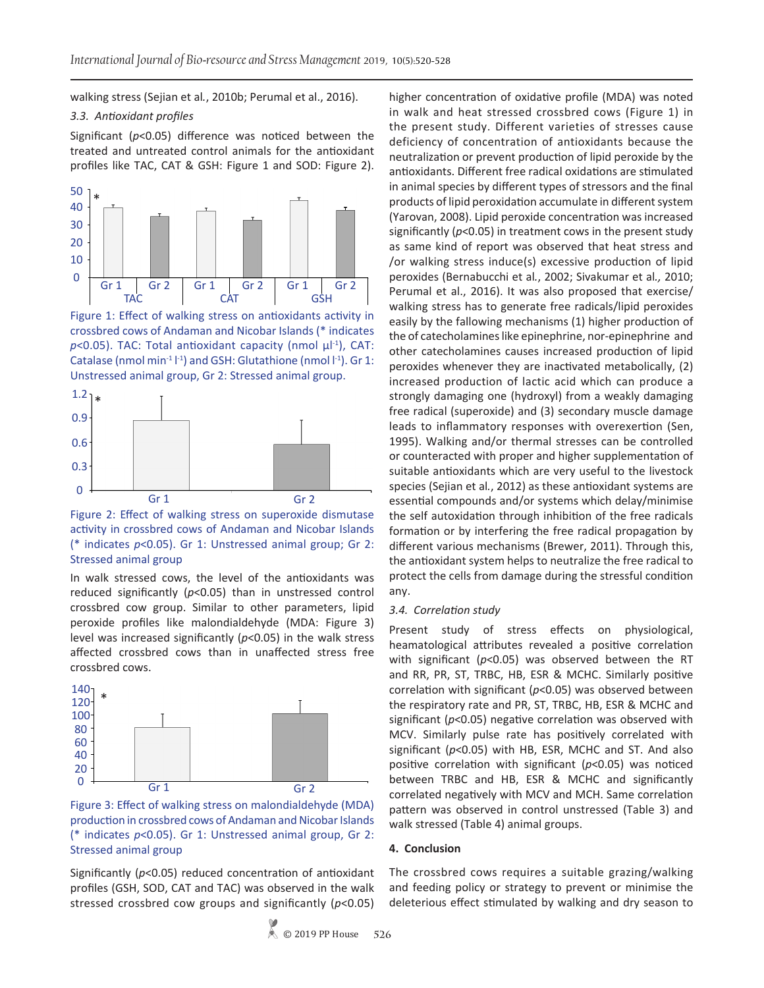walking stress (Sejian et al*.*, 2010b; Perumal et al., 2016).

### *3.3. Antioxidant profiles*

Significant (*p*<0.05) difference was noticed between the treated and untreated control animals for the antioxidant profiles like TAC, CAT & GSH: Figure 1 and SOD: Figure 2).



Figure 1: Effect of walking stress on antioxidants activity in crossbred cows of Andaman and Nicobar Islands (\* indicates  $p$ <0.05). TAC: Total antioxidant capacity (nmol  $\mu$ <sup>[-1</sup>], CAT: Catalase (nmol min<sup>-1</sup> $\vert$ <sup>-1</sup>) and GSH: Glutathione (nmol  $\vert$ <sup>-1</sup>). Gr 1: Unstressed animal group, Gr 2: Stressed animal group.



Figure 2: Effect of walking stress on superoxide dismutase activity in crossbred cows of Andaman and Nicobar Islands (\* indicates *p*<0.05). Gr 1: Unstressed animal group; Gr 2: Stressed animal group

In walk stressed cows, the level of the antioxidants was reduced significantly (*p*<0.05) than in unstressed control crossbred cow group. Similar to other parameters, lipid peroxide profiles like malondialdehyde (MDA: Figure 3) level was increased significantly (*p*<0.05) in the walk stress affected crossbred cows than in unaffected stress free crossbred cows.



Figure 3: Effect of walking stress on malondialdehyde (MDA) production in crossbred cows of Andaman and Nicobar Islands (\* indicates *p*<0.05). Gr 1: Unstressed animal group, Gr 2: Stressed animal group

Significantly (*p*<0.05) reduced concentration of antioxidant profiles (GSH, SOD, CAT and TAC) was observed in the walk stressed crossbred cow groups and significantly (*p*<0.05)

higher concentration of oxidative profile (MDA) was noted in walk and heat stressed crossbred cows (Figure 1) in the present study. Different varieties of stresses cause deficiency of concentration of antioxidants because the neutralization or prevent production of lipid peroxide by the antioxidants. Different free radical oxidations are stimulated in animal species by different types of stressors and the final products of lipid peroxidation accumulate in different system (Yarovan, 2008). Lipid peroxide concentration was increased significantly (*p*<0.05) in treatment cows in the present study as same kind of report was observed that heat stress and /or walking stress induce(s) excessive production of lipid peroxides (Bernabucchi et al*.*, 2002; Sivakumar et al*.,* 2010; Perumal et al., 2016). It was also proposed that exercise/ walking stress has to generate free radicals/lipid peroxides easily by the fallowing mechanisms (1) higher production of the of catecholamines like epinephrine, nor-epinephrine and other catecholamines causes increased production of lipid peroxides whenever they are inactivated metabolically, (2) increased production of lactic acid which can produce a strongly damaging one (hydroxyl) from a weakly damaging free radical (superoxide) and (3) secondary muscle damage leads to inflammatory responses with overexertion (Sen, 1995). Walking and/or thermal stresses can be controlled or counteracted with proper and higher supplementation of suitable antioxidants which are very useful to the livestock species (Sejian et al*.*, 2012) as these antioxidant systems are essential compounds and/or systems which delay/minimise the self autoxidation through inhibition of the free radicals formation or by interfering the free radical propagation by different various mechanisms (Brewer, 2011). Through this, the antioxidant system helps to neutralize the free radical to protect the cells from damage during the stressful condition any.

#### *3.4. Correlation study*

Present study of stress effects on physiological, heamatological attributes revealed a positive correlation with significant (*p*<0.05) was observed between the RT and RR, PR, ST, TRBC, HB, ESR & MCHC. Similarly positive correlation with significant (*p*<0.05) was observed between the respiratory rate and PR, ST, TRBC, HB, ESR & MCHC and significant (*p*<0.05) negative correlation was observed with MCV. Similarly pulse rate has positively correlated with significant (*p*<0.05) with HB, ESR, MCHC and ST. And also positive correlation with significant (*p*<0.05) was noticed between TRBC and HB, ESR & MCHC and significantly correlated negatively with MCV and MCH. Same correlation pattern was observed in control unstressed (Table 3) and walk stressed (Table 4) animal groups.

#### **4. Conclusion**

The crossbred cows requires a suitable grazing/walking and feeding policy or strategy to prevent or minimise the deleterious effect stimulated by walking and dry season to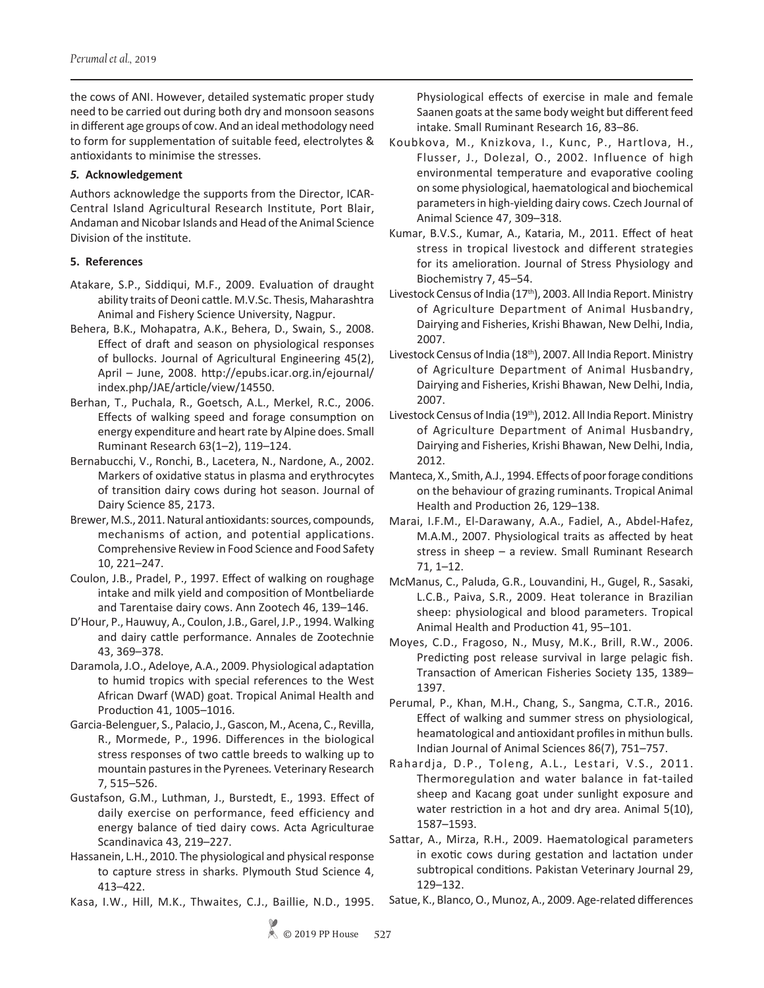the cows of ANI. However, detailed systematic proper study need to be carried out during both dry and monsoon seasons in different age groups of cow. And an ideal methodology need to form for supplementation of suitable feed, electrolytes & antioxidants to minimise the stresses.

### *5.* **Acknowledgement**

Authors acknowledge the supports from the Director, ICAR-Central Island Agricultural Research Institute, Port Blair, Andaman and Nicobar Islands and Head of the Animal Science Division of the institute.

### **5. References**

- Atakare, S.P., Siddiqui, M.F., 2009. Evaluation of draught ability traits of Deoni cattle. M.V.Sc. Thesis, Maharashtra Animal and Fishery Science University, Nagpur.
- Behera, B.K., Mohapatra, A.K., Behera, D., Swain, S., 2008. Effect of draft and season on physiological responses of bullocks. Journal of Agricultural Engineering 45(2), April – June, 2008. http://epubs.icar.org.in/ejournal/ index.php/JAE/article/view/14550.
- Berhan, T., Puchala, R., Goetsch, A.L., Merkel, R.C., 2006. Effects of walking speed and forage consumption on energy expenditure and heart rate by Alpine does. Small Ruminant Research 63(1–2), 119–124.
- Bernabucchi, V., Ronchi, B., Lacetera, N., Nardone, A., 2002. Markers of oxidative status in plasma and erythrocytes of transition dairy cows during hot season. Journal of Dairy Science 85, 2173.
- Brewer, M.S., 2011. Natural antioxidants: sources, compounds, mechanisms of action, and potential applications. Comprehensive Review in Food Science and Food Safety 10, 221–247.
- Coulon, J.B., Pradel, P., 1997. Effect of walking on roughage intake and milk yield and composition of Montbeliarde and Tarentaise dairy cows. Ann Zootech 46, 139–146.
- D'Hour, P., Hauwuy, A., Coulon, J.B., Garel, J.P., 1994. Walking and dairy cattle performance. Annales de Zootechnie 43, 369–378.
- Daramola, J.O., Adeloye, A.A., 2009. Physiological adaptation to humid tropics with special references to the West African Dwarf (WAD) goat. Tropical Animal Health and Production 41, 1005–1016.
- Garcia-Belenguer, S., Palacio, J., Gascon, M., Acena, C., Revilla, R., Mormede, P., 1996. Differences in the biological stress responses of two cattle breeds to walking up to mountain pastures in the Pyrenees*.* Veterinary Research 7, 515–526.
- Gustafson, G.M., Luthman, J., Burstedt, E., 1993. Effect of daily exercise on performance, feed efficiency and energy balance of tied dairy cows. Acta Agriculturae Scandinavica 43, 219–227.
- Hassanein, L.H., 2010. The physiological and physical response to capture stress in sharks. Plymouth Stud Science 4, 413–422.
- Kasa, I.W., Hill, M.K., Thwaites, C.J., Baillie, N.D., 1995.

Physiological effects of exercise in male and female Saanen goats at the same body weight but different feed intake. Small Ruminant Research 16, 83–86.

- Koubkova, M., Knizkova, I., Kunc, P., Hartlova, H., Flusser, J., Dolezal, O., 2002. Influence of high environmental temperature and evaporative cooling on some physiological, haematological and biochemical parameters in high-yielding dairy cows. Czech Journal of Animal Science 47, 309–318.
- Kumar, B.V.S., Kumar, A., Kataria, M., 2011. Effect of heat stress in tropical livestock and different strategies for its amelioration. Journal of Stress Physiology and Biochemistry 7, 45–54.
- Livestock Census of India (17<sup>th</sup>), 2003. All India Report. Ministry of Agriculture Department of Animal Husbandry, Dairying and Fisheries, Krishi Bhawan, New Delhi, India, 2007.
- Livestock Census of India (18th), 2007. All India Report. Ministry of Agriculture Department of Animal Husbandry, Dairying and Fisheries, Krishi Bhawan, New Delhi, India, 2007.
- Livestock Census of India (19<sup>th</sup>), 2012. All India Report. Ministry of Agriculture Department of Animal Husbandry, Dairying and Fisheries, Krishi Bhawan, New Delhi, India, 2012.
- Manteca, X., Smith, A.J., 1994. Effects of poor forage conditions on the behaviour of grazing ruminants. Tropical Animal Health and Production 26, 129–138.
- Marai, I.F.M., El-Darawany, A.A., Fadiel, A., Abdel-Hafez, M.A.M., 2007. Physiological traits as affected by heat stress in sheep – a review. Small Ruminant Research 71, 1–12.
- McManus, C., Paluda, G.R., Louvandini, H., Gugel, R., Sasaki, L.C.B., Paiva, S.R., 2009. Heat tolerance in Brazilian sheep: physiological and blood parameters. Tropical Animal Health and Production 41, 95–101.
- Moyes, C.D., Fragoso, N., Musy, M.K., Brill, R.W., 2006. Predicting post release survival in large pelagic fish. Transaction of American Fisheries Society 135, 1389– 1397.
- Perumal, P., Khan, M.H., Chang, S., Sangma, C.T.R., 2016. Effect of walking and summer stress on physiological, heamatological and antioxidant profiles in mithun bulls. Indian Journal of Animal Sciences 86(7), 751–757.
- Rahardja, D.P., Toleng, A.L., Lestari, V.S., 2011. Thermoregulation and water balance in fat-tailed sheep and Kacang goat under sunlight exposure and water restriction in a hot and dry area. Animal 5(10), 1587–1593.
- Sattar, A., Mirza, R.H., 2009. Haematological parameters in exotic cows during gestation and lactation under subtropical conditions. Pakistan Veterinary Journal 29, 129–132.
- Satue, K., Blanco, O., Munoz, A., 2009. Age-related differences